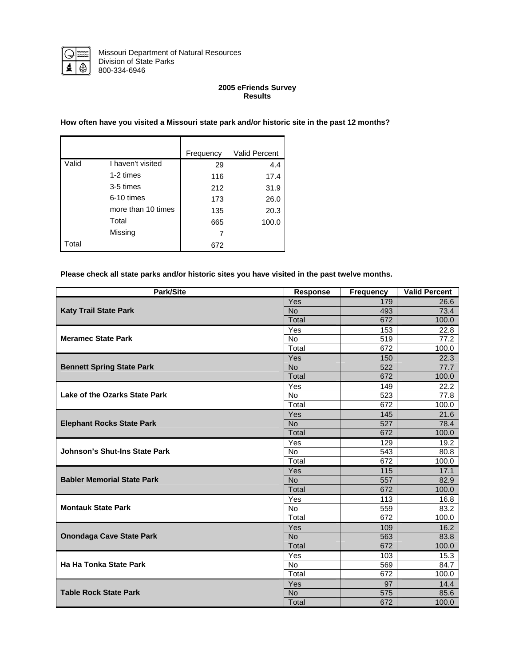

#### **2005 eFriends Survey Results**

#### **How often have you visited a Missouri state park and/or historic site in the past 12 months?**

|       |                    | Frequency | Valid Percent |
|-------|--------------------|-----------|---------------|
| Valid | I haven't visited  | 29        | 4.4           |
|       | 1-2 times          | 116       | 17.4          |
|       | 3-5 times          | 212       | 31.9          |
|       | 6-10 times         | 173       | 26.0          |
|       | more than 10 times | 135       | 20.3          |
|       | Total              | 665       | 100.0         |
|       | Missing            |           |               |
| Total |                    | 672       |               |

# **Please check all state parks and/or historic sites you have visited in the past twelve months.**

| Park/Site                         | <b>Response</b> | <b>Frequency</b> | <b>Valid Percent</b> |
|-----------------------------------|-----------------|------------------|----------------------|
|                                   | Yes             | 179              | 26.6                 |
| <b>Katy Trail State Park</b>      | <b>No</b>       | 493              | 73.4                 |
|                                   | Total           | 672              | 100.0                |
|                                   | Yes             | 153              | 22.8                 |
| <b>Meramec State Park</b>         | <b>No</b>       | 519              | 77.2                 |
|                                   | Total           | 672              | 100.0                |
|                                   | Yes             | 150              | 22.3                 |
| <b>Bennett Spring State Park</b>  | <b>No</b>       | 522              | 77.7                 |
|                                   | Total           | 672              | 100.0                |
|                                   | Yes             | 149              | 22.2                 |
| Lake of the Ozarks State Park     | No              | 523              | 77.8                 |
|                                   | Total           | 672              | 100.0                |
|                                   | Yes             | 145              | 21.6                 |
| <b>Elephant Rocks State Park</b>  | <b>No</b>       | 527              | 78.4                 |
|                                   | Total           | 672              | 100.0                |
|                                   | Yes             | 129              | 19.2                 |
| Johnson's Shut-Ins State Park     | <b>No</b>       | 543              | 80.8                 |
|                                   | Total           | 672              | 100.0                |
|                                   | Yes             | 115              | 17.1                 |
| <b>Babler Memorial State Park</b> | <b>No</b>       | 557              | 82.9                 |
|                                   | Total           | 672              | 100.0                |
|                                   | Yes             | 113              | 16.8                 |
| <b>Montauk State Park</b>         | <b>No</b>       | 559              | 83.2                 |
|                                   | Total           | 672              | 100.0                |
|                                   | Yes             | 109              | 16.2                 |
| <b>Onondaga Cave State Park</b>   | <b>No</b>       | 563              | 83.8                 |
|                                   | Total           | 672              | 100.0                |
|                                   | Yes             | 103              | 15.3                 |
| Ha Ha Tonka State Park            | <b>No</b>       | 569              | 84.7                 |
|                                   | Total           | 672              | 100.0                |
|                                   | Yes             | 97               | 14.4                 |
| <b>Table Rock State Park</b>      | <b>No</b>       | 575              | 85.6                 |
|                                   | Total           | 672              | 100.0                |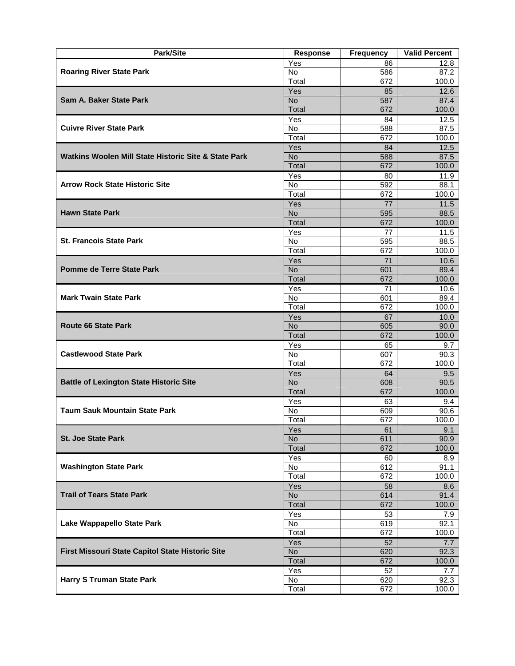| <b>Park/Site</b>                                     | <b>Response</b> | <b>Frequency</b> | <b>Valid Percent</b> |
|------------------------------------------------------|-----------------|------------------|----------------------|
|                                                      | Yes             | 86               | 12.8                 |
| <b>Roaring River State Park</b>                      | <b>No</b>       | 586              | 87.2                 |
|                                                      | Total           | 672              | 100.0                |
|                                                      | Yes             | 85               | 12.6                 |
| Sam A. Baker State Park                              | <b>No</b>       | 587              | 87.4                 |
|                                                      | Total           | 672              | 100.0                |
|                                                      | Yes             | 84               | 12.5                 |
| <b>Cuivre River State Park</b>                       | No              | 588              | 87.5                 |
|                                                      | Total           | 672              | 100.0                |
|                                                      | Yes             | 84               | 12.5                 |
| Watkins Woolen Mill State Historic Site & State Park | No.             | 588              | 87.5                 |
|                                                      | Total           | 672              | 100.0                |
|                                                      | Yes             | 80               | 11.9                 |
| <b>Arrow Rock State Historic Site</b>                | No              | 592              | 88.1                 |
|                                                      | Total           | 672              | 100.0                |
|                                                      | Yes             | 77               | 11.5                 |
| <b>Hawn State Park</b>                               | <b>No</b>       | 595              | 88.5                 |
|                                                      | Total           | 672              | 100.0                |
|                                                      | Yes             | 77               | 11.5                 |
| <b>St. Francois State Park</b>                       | No              | 595              | 88.5                 |
|                                                      | Total           | 672              | 100.0                |
|                                                      | Yes             | 71               | 10.6                 |
| Pomme de Terre State Park                            | <b>No</b>       | 601              | 89.4                 |
|                                                      | Total           | 672              | 100.0                |
|                                                      | Yes             | 71               | 10.6                 |
| <b>Mark Twain State Park</b>                         | <b>No</b>       | 601              | 89.4                 |
|                                                      | Total           | 672              | 100.0                |
|                                                      | Yes             | 67               | 10.0                 |
| <b>Route 66 State Park</b>                           | <b>No</b>       | 605              | 90.0                 |
|                                                      | Total           | 672              | 100.0                |
|                                                      | Yes             | 65               | 9.7                  |
| <b>Castlewood State Park</b>                         | No.             | 607              | 90.3                 |
|                                                      | Total           | 672              | 100.0                |
|                                                      | Yes             | 64               | 9.5                  |
| <b>Battle of Lexington State Historic Site</b>       | <b>No</b>       | 608              | 90.5                 |
|                                                      | Total           | 672              | 100.0                |
|                                                      | Yes             | 63               | 9.4                  |
| <b>Taum Sauk Mountain State Park</b>                 | No              | 609              | 90.6                 |
|                                                      | Total           | 672              | 100.0                |
|                                                      | Yes             | 61               | 9.1                  |
| <b>St. Joe State Park</b>                            | <b>No</b>       | 611              | 90.9                 |
|                                                      | Total           | 672              | 100.0                |
|                                                      | Yes             | 60               | 8.9                  |
| <b>Washington State Park</b>                         | No              | 612              | 91.1                 |
|                                                      | Total           | 672              | 100.0                |
|                                                      | Yes             | 58               | 8.6                  |
| <b>Trail of Tears State Park</b>                     | <b>No</b>       | 614              | 91.4                 |
|                                                      | Total           | 672              | 100.0                |
|                                                      | Yes             | 53               | 7.9                  |
| Lake Wappapello State Park                           | No              | 619              | 92.1                 |
|                                                      | Total           | 672              | 100.0                |
|                                                      | Yes             | 52               | 7.7                  |
| First Missouri State Capitol State Historic Site     | <b>No</b>       | 620              | 92.3                 |
|                                                      | Total           | 672              | 100.0                |
|                                                      | Yes             | 52               | 7.7                  |
| <b>Harry S Truman State Park</b>                     | No              | 620              | 92.3                 |
|                                                      | Total           | 672              | 100.0                |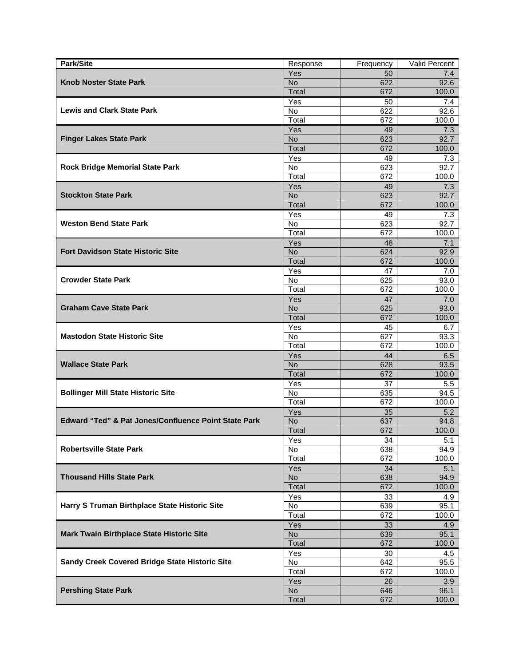| Park/Site                                                       | Response       | Frequency | Valid Percent |
|-----------------------------------------------------------------|----------------|-----------|---------------|
|                                                                 | Yes            | 50        | 7.4           |
| <b>Knob Noster State Park</b>                                   | <b>No</b>      | 622       | 92.6          |
|                                                                 | Total          | 672       | 100.0         |
|                                                                 | Yes            | 50        | 7.4           |
| <b>Lewis and Clark State Park</b>                               | <b>No</b>      | 622       | 92.6          |
|                                                                 | Total          | 672       | 100.0         |
|                                                                 | Yes            | 49        | 7.3           |
| <b>Finger Lakes State Park</b>                                  | <b>No</b>      | 623       | 92.7          |
|                                                                 | Total          | 672       | 100.0         |
|                                                                 | Yes            | 49        | 7.3           |
| <b>Rock Bridge Memorial State Park</b>                          | <b>No</b>      | 623       | 92.7          |
|                                                                 | Total          | 672       | 100.0         |
|                                                                 | Yes            | 49        | 7.3           |
| <b>Stockton State Park</b>                                      | No.            | 623       | 92.7          |
|                                                                 | Total          | 672       | 100.0         |
|                                                                 | Yes            | 49        | 7.3           |
| <b>Weston Bend State Park</b>                                   | No             | 623       | 92.7          |
|                                                                 | Total          | 672       | 100.0         |
|                                                                 | Yes            | 48        | 7.1           |
| <b>Fort Davidson State Historic Site</b>                        | N <sub>o</sub> | 624       | 92.9          |
|                                                                 | Total          | 672       | 100.0         |
|                                                                 | Yes            | 47        | 7.0           |
| <b>Crowder State Park</b>                                       | No             | 625       | 93.0          |
|                                                                 | Total          | 672       | 100.0         |
|                                                                 | Yes            | 47        | 7.0           |
| <b>Graham Cave State Park</b>                                   | <b>No</b>      | 625       | 93.0          |
|                                                                 | Total          | 672       | 100.0         |
|                                                                 | Yes            | 45        | 6.7           |
| <b>Mastodon State Historic Site</b>                             | No.            | 627       | 93.3          |
|                                                                 | Total          | 672       | 100.0         |
|                                                                 | Yes            | 44        | 6.5           |
| <b>Wallace State Park</b>                                       | <b>No</b>      | 628       | 93.5          |
|                                                                 | Total          | 672       | 100.0         |
|                                                                 | Yes            | 37        | 5.5           |
| <b>Bollinger Mill State Historic Site</b>                       | <b>No</b>      | 635       | 94.5          |
|                                                                 | Total          | 672       | 100.0         |
|                                                                 | Yes            | 35        | 5.2           |
| <b>Edward "Ted" &amp; Pat Jones/Confluence Point State Park</b> | <b>No</b>      | 637       | 94.8          |
|                                                                 | Total          | 672       | 100.0         |
|                                                                 | Yes            | 34        | 5.1           |
| <b>Robertsville State Park</b>                                  | No             | 638       | 94.9          |
|                                                                 | Total          | 672       | 100.0         |
|                                                                 | Yes            | 34        | 5.1           |
| <b>Thousand Hills State Park</b>                                | <b>No</b>      | 638       | 94.9          |
|                                                                 | Total          | 672       | 100.0         |
|                                                                 | Yes            | 33        | 4.9           |
| Harry S Truman Birthplace State Historic Site                   | No             | 639       | 95.1          |
|                                                                 | Total          | 672       | 100.0         |
|                                                                 | Yes            | 33        | 4.9           |
| <b>Mark Twain Birthplace State Historic Site</b>                | No             | 639       | 95.1          |
|                                                                 | Total          | 672       | 100.0         |
|                                                                 | Yes            | 30        | 4.5           |
| Sandy Creek Covered Bridge State Historic Site                  | No             | 642       | 95.5          |
|                                                                 | Total          | 672       | 100.0         |
|                                                                 | Yes            | 26        | 3.9           |
| <b>Pershing State Park</b>                                      | <b>No</b>      | 646       | 96.1          |
|                                                                 | Total          | 672       | 100.0         |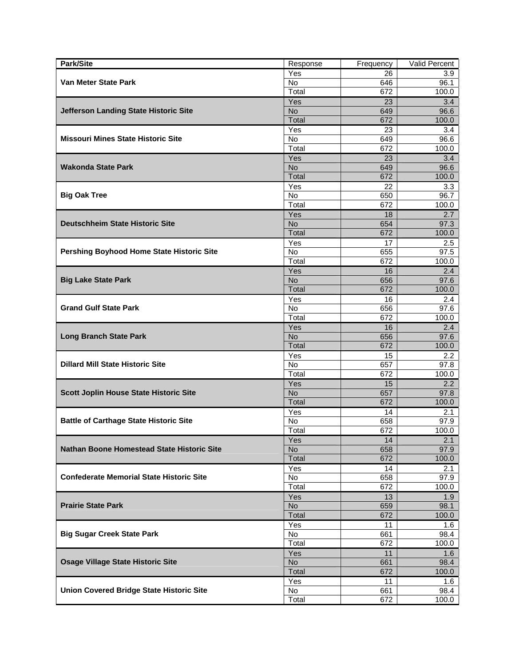| Park/Site                                         | Response         | Frequency | Valid Percent    |
|---------------------------------------------------|------------------|-----------|------------------|
|                                                   | Yes              | 26        | 3.9              |
| Van Meter State Park                              | No               | 646       | 96.1             |
|                                                   | Total            | 672       | 100.0            |
|                                                   | Yes              | 23        | 3.4              |
| Jefferson Landing State Historic Site             | <b>No</b>        | 649       | 96.6             |
|                                                   | Total            | 672       | 100.0            |
|                                                   | Yes              | 23        | 3.4              |
| <b>Missouri Mines State Historic Site</b>         | No               | 649       | 96.6             |
|                                                   | Total            | 672       | 100.0            |
|                                                   | Yes              | 23        | 3.4              |
| <b>Wakonda State Park</b>                         | <b>No</b>        | 649       | 96.6             |
|                                                   | Total            | 672       | 100.0            |
|                                                   | Yes              | 22        | 3.3              |
| <b>Big Oak Tree</b>                               | No               | 650       | 96.7             |
|                                                   | Total            | 672       | 100.0            |
|                                                   | Yes              | 18        | 2.7              |
| <b>Deutschheim State Historic Site</b>            | <b>No</b>        | 654       | 97.3             |
|                                                   | Total            | 672       | 100.0            |
|                                                   | Yes              | 17        | 2.5              |
| Pershing Boyhood Home State Historic Site         | No               | 655       | 97.5             |
|                                                   | Total            | 672       | 100.0            |
|                                                   | Yes              | 16        | 2.4              |
| <b>Big Lake State Park</b>                        | <b>No</b>        | 656       | 97.6             |
|                                                   | Total            | 672       | 100.0            |
|                                                   | Yes              | 16        | 2.4              |
| <b>Grand Gulf State Park</b>                      | No               | 656       | 97.6             |
|                                                   | Total            | 672       | 100.0            |
|                                                   | Yes              | 16        | 2.4              |
| <b>Long Branch State Park</b>                     | <b>No</b>        | 656       | 97.6             |
|                                                   | Total            | 672       | 100.0            |
|                                                   | Yes              | 15        | $2.2\phantom{0}$ |
| <b>Dillard Mill State Historic Site</b>           | No               | 657       | 97.8             |
|                                                   | Total            | 672       | 100.0            |
|                                                   | Yes              | 15        | 2.2              |
| Scott Joplin House State Historic Site            | N <sub>o</sub>   | 657       | 97.8             |
|                                                   | Total            | 672       | 100.0            |
|                                                   | Yes              | 14        | 2.1              |
| <b>Battle of Carthage State Historic Site</b>     | No               | 658       | 97.9             |
|                                                   | Total            | 672       | 100.0            |
|                                                   | Yes              | 14        | 2.1              |
| <b>Nathan Boone Homestead State Historic Site</b> | <b>No</b>        | 658       | 97.9             |
|                                                   | Total            | 672       | 100.0            |
|                                                   | Yes              | 14        | 2.1              |
| <b>Confederate Memorial State Historic Site</b>   | No               | 658       | 97.9             |
|                                                   | Total            | 672       | 100.0            |
|                                                   |                  |           |                  |
| <b>Prairie State Park</b>                         | Yes<br><b>No</b> | 13<br>659 | 1.9<br>98.1      |
|                                                   | Total            | 672       | 100.0            |
|                                                   | Yes              | 11        | 1.6              |
| <b>Big Sugar Creek State Park</b>                 | No               | 661       | 98.4             |
|                                                   | Total            | 672       | 100.0            |
|                                                   | Yes              | 11        |                  |
| <b>Osage Village State Historic Site</b>          | No               | 661       | 1.6<br>98.4      |
|                                                   | Total            | 672       | 100.0            |
|                                                   |                  |           |                  |
| <b>Union Covered Bridge State Historic Site</b>   | Yes<br>No        | 11<br>661 | 1.6<br>98.4      |
|                                                   | Total            | 672       | 100.0            |
|                                                   |                  |           |                  |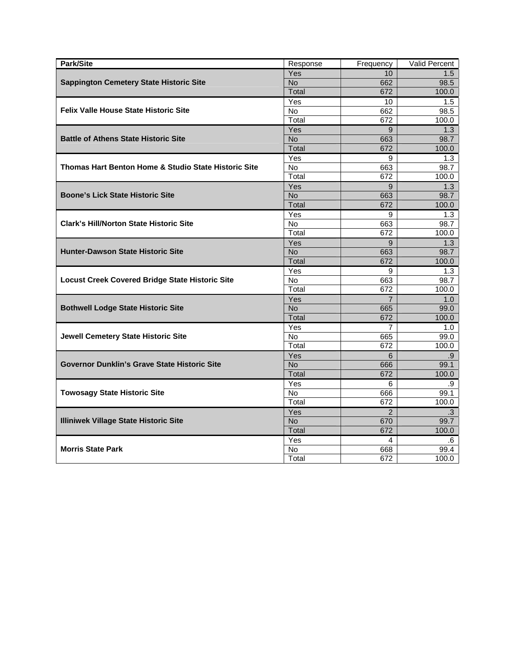| Park/Site                                              | Response  | Frequency      | Valid Percent |
|--------------------------------------------------------|-----------|----------------|---------------|
|                                                        | Yes       | 10             | 1.5           |
| <b>Sappington Cemetery State Historic Site</b>         | <b>No</b> | 662            | 98.5          |
|                                                        | Total     | 672            | 100.0         |
|                                                        | Yes       | 10             | 1.5           |
| <b>Felix Valle House State Historic Site</b>           | <b>No</b> | 662            | 98.5          |
|                                                        | Total     | 672            | 100.0         |
|                                                        | Yes       | 9              | 1.3           |
| <b>Battle of Athens State Historic Site</b>            | <b>No</b> | 663            | 98.7          |
|                                                        | Total     | 672            | 100.0         |
|                                                        | Yes       | 9              | 1.3           |
| Thomas Hart Benton Home & Studio State Historic Site   | No        | 663            | 98.7          |
|                                                        | Total     | 672            | 100.0         |
|                                                        | Yes       | 9              | 1.3           |
| <b>Boone's Lick State Historic Site</b>                | <b>No</b> | 663            | 98.7          |
|                                                        | Total     | 672            | 100.0         |
|                                                        | Yes       | 9              | 1.3           |
| <b>Clark's Hill/Norton State Historic Site</b>         | No        | 663            | 98.7          |
|                                                        | Total     | 672            | 100.0         |
|                                                        | Yes       | 9              | 1.3           |
| <b>Hunter-Dawson State Historic Site</b>               | <b>No</b> | 663            | 98.7          |
|                                                        | Total     | 672            | 100.0         |
|                                                        | Yes       | 9              | 1.3           |
| <b>Locust Creek Covered Bridge State Historic Site</b> | <b>No</b> | 663            | 98.7          |
|                                                        | Total     | 672            | 100.0         |
|                                                        | Yes       | $\overline{7}$ | 1.0           |
| <b>Bothwell Lodge State Historic Site</b>              | <b>No</b> | 665            | 99.0          |
|                                                        | Total     | 672            | 100.0         |
|                                                        | Yes       | $\overline{7}$ | 1.0           |
| <b>Jewell Cemetery State Historic Site</b>             | No        | 665            | 99.0          |
|                                                        | Total     | 672            | 100.0         |
|                                                        | Yes       | 6              | .9            |
| Governor Dunklin's Grave State Historic Site           | <b>No</b> | 666            | 99.1          |
|                                                        | Total     | 672            | 100.0         |
|                                                        | Yes       | 6              | .9            |
| <b>Towosagy State Historic Site</b>                    | No        | 666            | 99.1          |
|                                                        | Total     | 672            | 100.0         |
|                                                        | Yes       | $\overline{2}$ | $\cdot$ 3     |
| <b>Illiniwek Village State Historic Site</b>           | <b>No</b> | 670            | 99.7          |
|                                                        | Total     | 672            | 100.0         |
|                                                        | Yes       | 4              | .6            |
| <b>Morris State Park</b>                               | No        | 668            | 99.4          |
|                                                        | Total     | 672            | 100.0         |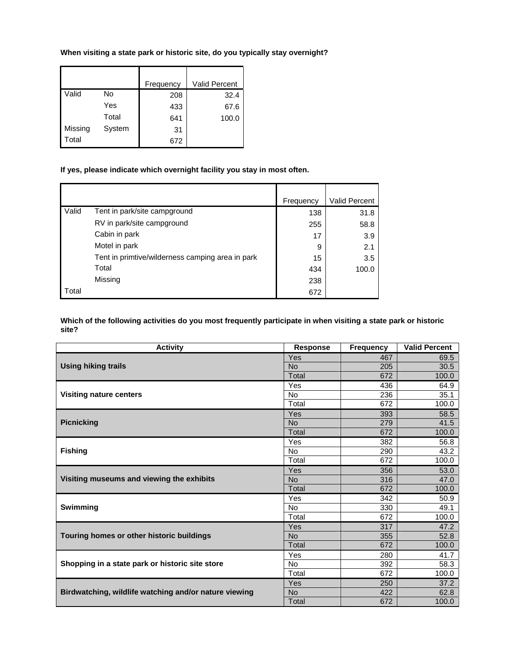# **When visiting a state park or historic site, do you typically stay overnight?**

 $\overline{\phantom{a}}$ 

|         |        | Frequency | Valid Percent |
|---------|--------|-----------|---------------|
| Valid   | No     | 208       | 32.4          |
|         | Yes    | 433       | 67.6          |
|         | Total  | 641       | 100.0         |
| Missing | System | 31        |               |
| Total   |        | 672       |               |

# **If yes, please indicate which overnight facility you stay in most often.**

|       |                                                  | Frequency | <b>Valid Percent</b> |
|-------|--------------------------------------------------|-----------|----------------------|
| Valid | Tent in park/site campground                     | 138       | 31.8                 |
|       | RV in park/site campground                       | 255       | 58.8                 |
|       | Cabin in park                                    | 17        | 3.9                  |
|       | Motel in park                                    | 9         | 2.1                  |
|       | Tent in primtive/wilderness camping area in park | 15        | 3.5                  |
|       | Total                                            | 434       | 100.0                |
|       | Missing                                          | 238       |                      |
| Total |                                                  | 672       |                      |

### **Which of the following activities do you most frequently participate in when visiting a state park or historic site?**

| <b>Activity</b>                                       | <b>Response</b> | <b>Frequency</b> | <b>Valid Percent</b> |
|-------------------------------------------------------|-----------------|------------------|----------------------|
|                                                       | Yes             | 467              | 69.5                 |
| <b>Using hiking trails</b>                            | <b>No</b>       | 205              | 30.5                 |
|                                                       | Total           | 672              | 100.0                |
|                                                       | Yes             | 436              | 64.9                 |
| <b>Visiting nature centers</b>                        | <b>No</b>       | 236              | 35.1                 |
|                                                       | Total           | 672              | 100.0                |
|                                                       | Yes             | 393              | 58.5                 |
| <b>Picnicking</b>                                     | <b>No</b>       | 279              | 41.5                 |
|                                                       | Total           | 672              | 100.0                |
|                                                       | Yes             | 382              | 56.8                 |
| <b>Fishing</b>                                        | <b>No</b>       | 290              | 43.2                 |
|                                                       | Total           | 672              | 100.0                |
|                                                       | Yes             | 356              | 53.0                 |
| Visiting museums and viewing the exhibits             | <b>No</b>       | 316              | 47.0                 |
|                                                       | Total           | 672              | 100.0                |
|                                                       | Yes             | 342              | 50.9                 |
| <b>Swimming</b>                                       | <b>No</b>       | 330              | 49.1                 |
|                                                       | Total           | 672              | 100.0                |
|                                                       | Yes             | 317              | 47.2                 |
| Touring homes or other historic buildings             | <b>No</b>       | 355              | 52.8                 |
|                                                       | Total           | 672              | 100.0                |
|                                                       | Yes             | 280              | 41.7                 |
| Shopping in a state park or historic site store       | <b>No</b>       | 392              | 58.3                 |
|                                                       | Total           | 672              | 100.0                |
|                                                       | Yes             | 250              | 37.2                 |
| Birdwatching, wildlife watching and/or nature viewing | <b>No</b>       | 422              | 62.8                 |
|                                                       | Total           | 672              | 100.0                |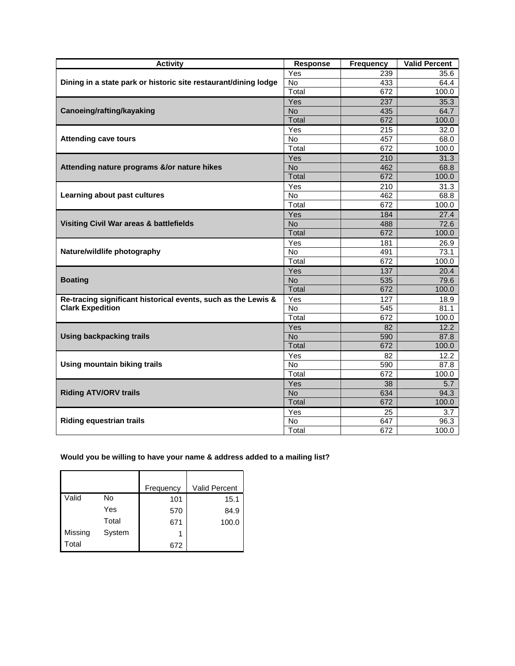| <b>Activity</b>                                                 | <b>Response</b> | <b>Frequency</b> | <b>Valid Percent</b> |
|-----------------------------------------------------------------|-----------------|------------------|----------------------|
|                                                                 | Yes             | 239              | 35.6                 |
| Dining in a state park or historic site restaurant/dining lodge | No              | 433              | 64.4                 |
|                                                                 | Total           | 672              | 100.0                |
|                                                                 | Yes             | 237              | 35.3                 |
| Canoeing/rafting/kayaking                                       | <b>No</b>       | 435              | 64.7                 |
|                                                                 | Total           | 672              | 100.0                |
|                                                                 | Yes             | 215              | 32.0                 |
| <b>Attending cave tours</b>                                     | No              | 457              | 68.0                 |
|                                                                 | Total           | 672              | 100.0                |
|                                                                 | Yes             | 210              | 31.3                 |
| Attending nature programs &/or nature hikes                     | <b>No</b>       | 462              | 68.8                 |
|                                                                 | Total           | 672              | 100.0                |
|                                                                 | Yes             | 210              | 31.3                 |
| Learning about past cultures                                    | No              | 462              | 68.8                 |
|                                                                 | Total           | 672              | 100.0                |
|                                                                 | Yes             | 184              | 27.4                 |
| Visiting Civil War areas & battlefields                         | <b>No</b>       | 488              | 72.6                 |
|                                                                 | Total           | 672              | 100.0                |
|                                                                 | Yes             | 181              | 26.9                 |
| Nature/wildlife photography                                     | No              | 491              | 73.1                 |
|                                                                 | Total           | 672              | 100.0                |
|                                                                 | Yes             | 137              | 20.4                 |
| <b>Boating</b>                                                  | <b>No</b>       | 535              | 79.6                 |
|                                                                 | Total           | 672              | 100.0                |
| Re-tracing significant historical events, such as the Lewis &   | Yes             | 127              | 18.9                 |
| <b>Clark Expedition</b>                                         | No              | 545              | 81.1                 |
|                                                                 | Total           | 672              | 100.0                |
|                                                                 | Yes             | 82               | 12.2                 |
| <b>Using backpacking trails</b>                                 | <b>No</b>       | 590              | 87.8                 |
|                                                                 | Total           | 672              | 100.0                |
|                                                                 | Yes             | 82               | 12.2                 |
| <b>Using mountain biking trails</b>                             | <b>No</b>       | 590              | 87.8                 |
|                                                                 | Total           | $\overline{672}$ | 100.0                |
|                                                                 | Yes             | 38               | 5.7                  |
| <b>Riding ATV/ORV trails</b>                                    | <b>No</b>       | 634              | 94.3                 |
|                                                                 | Total           | 672              | 100.0                |
|                                                                 | Yes             | 25               | 3.7                  |
| <b>Riding equestrian trails</b>                                 | No              | 647              | 96.3                 |
|                                                                 | Total           | 672              | 100.0                |

**Would you be willing to have your name & address added to a mailing list?** 

|         |        | Frequency | <b>Valid Percent</b> |
|---------|--------|-----------|----------------------|
| Valid   | No     | 101       | 15.1                 |
|         | Yes    | 570       | 84.9                 |
|         | Total  | 671       | 100.0                |
| Missing | System | 1         |                      |
| Total   |        | 672       |                      |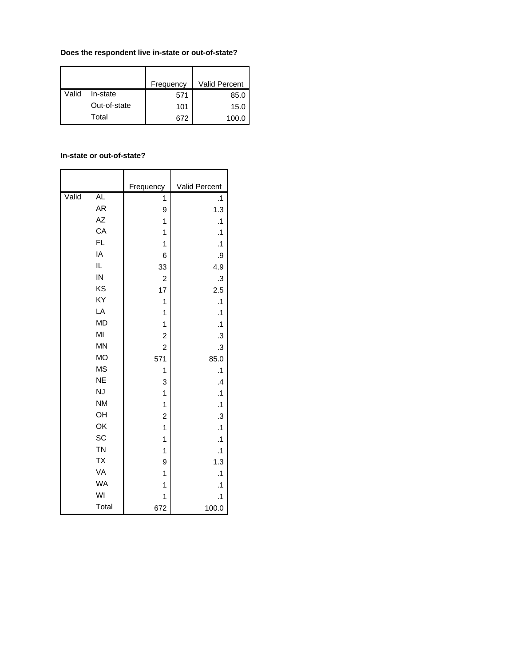# **Does the respondent live in-state or out-of-state?**

|       |              | Frequency | <b>Valid Percent</b> |
|-------|--------------|-----------|----------------------|
| Valid | In-state     | 571       | 85.0                 |
|       | Out-of-state | 101       | 15.0                 |
|       | Total        | 672       | 100.0                |

#### **In-state or out-of-state?**

|       |           | Frequency      | Valid Percent |
|-------|-----------|----------------|---------------|
| Valid | AL        | $\overline{1}$ | $\cdot$ 1     |
|       | AR        | 9              | 1.3           |
|       | AZ        | 1              | $\cdot$ 1     |
|       | CA        | 1              | $\cdot$ 1     |
|       | FL.       | 1              | $\cdot$ 1     |
|       | IA        | 6              | .9            |
|       | IL        | 33             | 4.9           |
|       | IN        | $\overline{c}$ | $\cdot$       |
|       | KS        | 17             | 2.5           |
|       | KY        | 1              | $\cdot$ 1     |
|       | LA        | 1              | $\cdot$ 1     |
|       | <b>MD</b> | 1              | $\cdot$ 1     |
|       | MI        | $\overline{c}$ | $\cdot$       |
|       | <b>MN</b> | $\overline{c}$ | $\cdot$       |
|       | <b>MO</b> | 571            | 85.0          |
|       | <b>MS</b> | 1              | $\cdot$ 1     |
|       | <b>NE</b> | 3              | $\mathcal{A}$ |
|       | <b>NJ</b> | $\mathbf{1}$   | $\cdot$ 1     |
|       | <b>NM</b> | 1              | $\cdot$ 1     |
|       | OH        | $\overline{c}$ | $\cdot$       |
|       | OK        | $\overline{1}$ | $\cdot$ 1     |
|       | SC        | 1              | $\cdot$ 1     |
|       | <b>TN</b> | 1              | $\cdot$ 1     |
|       | <b>TX</b> | 9              | 1.3           |
|       | VA        | 1              | $\cdot$ 1     |
|       | <b>WA</b> | 1              | $\cdot$ 1     |
|       | WI        | 1              | $\cdot$ 1     |
|       | Total     | 672            | 100.0         |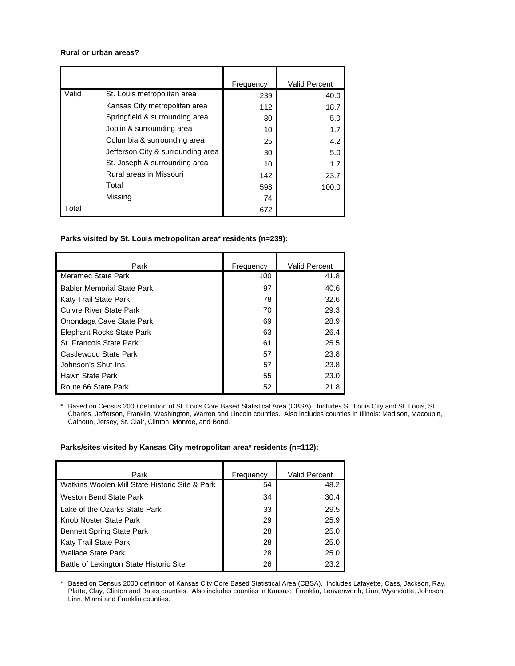#### **Rural or urban areas?**

|       |                                   | Frequency | <b>Valid Percent</b> |
|-------|-----------------------------------|-----------|----------------------|
| Valid | St. Louis metropolitan area       | 239       | 40.0                 |
|       | Kansas City metropolitan area     | 112       | 18.7                 |
|       | Springfield & surrounding area    | 30        | 5.0                  |
|       | Joplin & surrounding area         | 10        | 1.7                  |
|       | Columbia & surrounding area       | 25        | 4.2                  |
|       | Jefferson City & surrounding area | 30        | 5.0                  |
|       | St. Joseph & surrounding area     | 10        | 1.7                  |
|       | Rural areas in Missouri           | 142       | 23.7                 |
|       | Total                             | 598       | 100.0                |
|       | Missing                           | 74        |                      |
| Total |                                   | 672       |                      |

# **Parks visited by St. Louis metropolitan area\* residents (n=239):**

| Park                              | Frequency | Valid Percent |
|-----------------------------------|-----------|---------------|
| Meramec State Park                | 100       | 41.8          |
| <b>Babler Memorial State Park</b> | 97        | 40.6          |
| Katy Trail State Park             | 78        | 32.6          |
| <b>Cuivre River State Park</b>    | 70        | 29.3          |
| Onondaga Cave State Park          | 69        | 28.9          |
| <b>Elephant Rocks State Park</b>  | 63        | 26.4          |
| St. Francois State Park           | 61        | 25.5          |
| Castlewood State Park             | 57        | 23.8          |
| Johnson's Shut-Ins                | 57        | 23.8          |
| Hawn State Park                   | 55        | 23.0          |
| Route 66 State Park               | 52        | 21.8          |

\* Based on Census 2000 definition of St. Louis Core Based Statistical Area (CBSA). Includes St. Louis City and St. Louis, St. Charles, Jefferson, Franklin, Washington, Warren and Lincoln counties. Also includes counties in Illinois: Madison, Macoupin, Calhoun, Jersey, St. Clair, Clinton, Monroe, and Bond.

#### **Parks/sites visited by Kansas City metropolitan area\* residents (n=112):**

| Park                                           | Frequency | Valid Percent |
|------------------------------------------------|-----------|---------------|
| Watkins Woolen Mill State Historic Site & Park | 54        | 48.2          |
| Weston Bend State Park                         | 34        | 30.4          |
| Lake of the Ozarks State Park                  | 33        | 29.5          |
| Knob Noster State Park                         | 29        | 25.9          |
| <b>Bennett Spring State Park</b>               | 28        | 25.0          |
| Katy Trail State Park                          | 28        | 25.0          |
| <b>Wallace State Park</b>                      | 28        | 25.0          |
| Battle of Lexington State Historic Site        | 26        | 23.2          |

\* Based on Census 2000 definition of Kansas City Core Based Statistical Area (CBSA). Includes Lafayette, Cass, Jackson, Ray, Platte, Clay, Clinton and Bates counties. Also includes counties in Kansas: Franklin, Leavenworth, Linn, Wyandotte, Johnson, Linn, Miami and Franklin counties.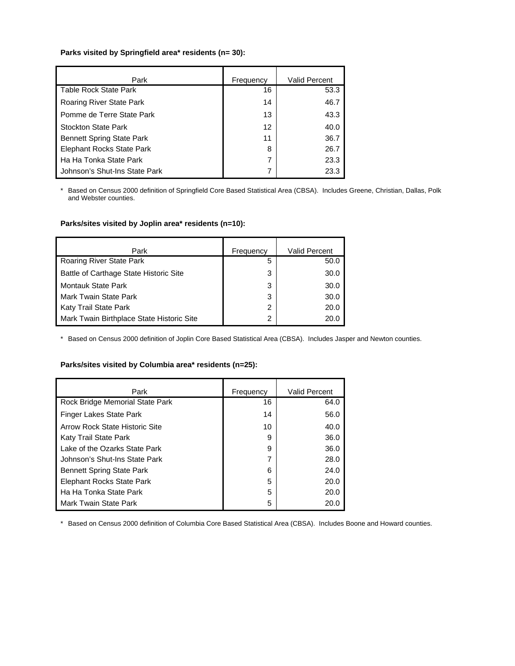# **Parks visited by Springfield area\* residents (n= 30):**

| Park                             | Frequency       | <b>Valid Percent</b> |
|----------------------------------|-----------------|----------------------|
| <b>Table Rock State Park</b>     | 16              | 53.3                 |
| Roaring River State Park         | 14              | 46.7                 |
| Pomme de Terre State Park        | 13              | 43.3                 |
| <b>Stockton State Park</b>       | 12 <sup>2</sup> | 40.0                 |
| <b>Bennett Spring State Park</b> | 11              | 36.7                 |
| <b>Elephant Rocks State Park</b> | 8               | 26.7                 |
| Ha Ha Tonka State Park           | 7               | 23.3                 |
| Johnson's Shut-Ins State Park    | 7               | 23.3                 |

\* Based on Census 2000 definition of Springfield Core Based Statistical Area (CBSA). Includes Greene, Christian, Dallas, Polk and Webster counties.

### **Parks/sites visited by Joplin area\* residents (n=10):**

| Park                                      | Frequency | <b>Valid Percent</b> |
|-------------------------------------------|-----------|----------------------|
| Roaring River State Park                  | 5         | 50.0                 |
| Battle of Carthage State Historic Site    | 3         | 30.0                 |
| <b>Montauk State Park</b>                 | 3         | 30.0                 |
| Mark Twain State Park                     | 3         | 30.0                 |
| Katy Trail State Park                     | 2         | 20.0                 |
| Mark Twain Birthplace State Historic Site | 2         | 20.0                 |

\* Based on Census 2000 definition of Joplin Core Based Statistical Area (CBSA). Includes Jasper and Newton counties.

#### **Parks/sites visited by Columbia area\* residents (n=25):**

| Park                             | Frequency | <b>Valid Percent</b> |
|----------------------------------|-----------|----------------------|
| Rock Bridge Memorial State Park  | 16        | 64.0                 |
| Finger Lakes State Park          | 14        | 56.0                 |
| Arrow Rock State Historic Site   | 10        | 40.0                 |
| Katy Trail State Park            | 9         | 36.0                 |
| Lake of the Ozarks State Park    | 9         | 36.0                 |
| Johnson's Shut-Ins State Park    | 7         | 28.0                 |
| <b>Bennett Spring State Park</b> | 6         | 24.0                 |
| <b>Elephant Rocks State Park</b> | 5         | 20.0                 |
| Ha Ha Tonka State Park           | 5         | 20.0                 |
| <b>Mark Twain State Park</b>     | 5         | 20.0                 |

\* Based on Census 2000 definition of Columbia Core Based Statistical Area (CBSA). Includes Boone and Howard counties.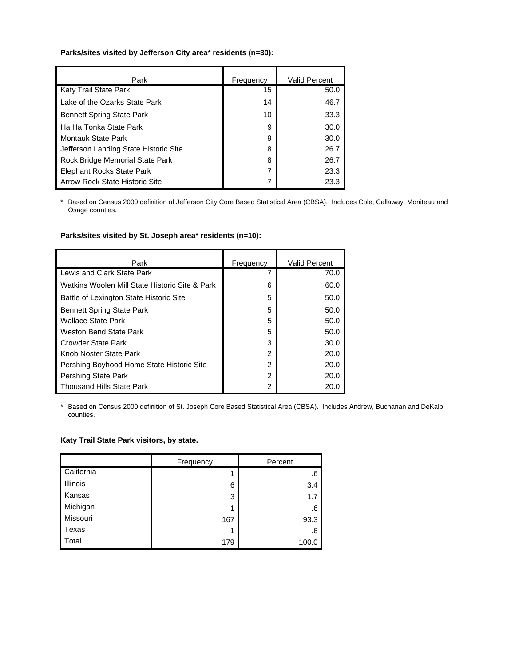### **Parks/sites visited by Jefferson City area\* residents (n=30):**

| Park                                  | Frequency | <b>Valid Percent</b> |
|---------------------------------------|-----------|----------------------|
| Katy Trail State Park                 | 15        | 50.0                 |
| Lake of the Ozarks State Park         | 14        | 46.7                 |
| <b>Bennett Spring State Park</b>      | 10        | 33.3                 |
| Ha Ha Tonka State Park                | 9         | 30.0                 |
| Montauk State Park                    | 9         | 30.0                 |
| Jefferson Landing State Historic Site | 8         | 26.7                 |
| Rock Bridge Memorial State Park       | 8         | 26.7                 |
| Elephant Rocks State Park             | 7         | 23.3                 |
| <b>Arrow Rock State Historic Site</b> | 7         | 23.3                 |

\* Based on Census 2000 definition of Jefferson City Core Based Statistical Area (CBSA). Includes Cole, Callaway, Moniteau and Osage counties.

# **Parks/sites visited by St. Joseph area\* residents (n=10):**

| Park                                           | Frequency | <b>Valid Percent</b> |
|------------------------------------------------|-----------|----------------------|
| Lewis and Clark State Park                     |           | 70.0                 |
| Watkins Woolen Mill State Historic Site & Park | 6         | 60.0                 |
| Battle of Lexington State Historic Site        | 5         | 50.0                 |
| <b>Bennett Spring State Park</b>               | 5         | 50.0                 |
| <b>Wallace State Park</b>                      | 5         | 50.0                 |
| Weston Bend State Park                         | 5         | 50.0                 |
| Crowder State Park                             | 3         | 30.0                 |
| Knob Noster State Park                         | 2         | 20.0                 |
| Pershing Boyhood Home State Historic Site      | 2         | 20.0                 |
| Pershing State Park                            | 2         | 20.0                 |
| Thousand Hills State Park                      | 2         | 20.0                 |

\* Based on Census 2000 definition of St. Joseph Core Based Statistical Area (CBSA). Includes Andrew, Buchanan and DeKalb counties.

#### **Katy Trail State Park visitors, by state.**

|                 | Frequency | Percent |
|-----------------|-----------|---------|
| California      |           | .6      |
| <b>Illinois</b> | 6         | 3.4     |
| Kansas          | 3         | 1.7     |
| Michigan        | 4         | .6      |
| Missouri        | 167       | 93.3    |
| Texas           |           | .6      |
| Total           | 179       | 100.0   |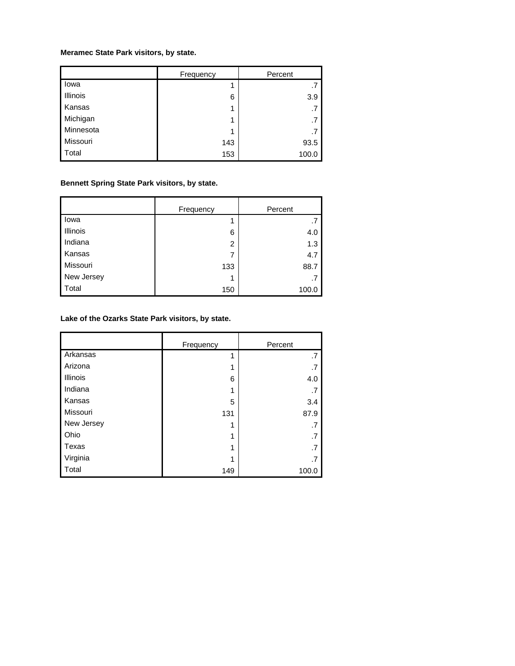# **Meramec State Park visitors, by state.**

|           | Frequency | Percent |
|-----------|-----------|---------|
| lowa      |           | .7      |
| Illinois  | 6         | 3.9     |
| Kansas    |           | .7      |
| Michigan  |           | .7      |
| Minnesota |           | .7      |
| Missouri  | 143       | 93.5    |
| Total     | 153       | 100.0   |

# **Bennett Spring State Park visitors, by state.**

|            | Frequency      | Percent |
|------------|----------------|---------|
| lowa       |                | .7      |
| Illinois   | 6              | 4.0     |
| Indiana    | $\overline{2}$ | 1.3     |
| Kansas     | 7              | 4.7     |
| Missouri   | 133            | 88.7    |
| New Jersey |                | .7      |
| Total      | 150            | 100.0   |

# **Lake of the Ozarks State Park visitors, by state.**

|                 | Frequency | Percent |
|-----------------|-----------|---------|
| Arkansas        | 4         | .7      |
| Arizona         |           | .7      |
| <b>Illinois</b> | 6         | 4.0     |
| Indiana         | 1         | .7      |
| Kansas          | 5         | 3.4     |
| Missouri        | 131       | 87.9    |
| New Jersey      |           | .7      |
| Ohio            |           | .7      |
| Texas           |           | .7      |
| Virginia        |           | .7      |
| Total           | 149       | 100.0   |